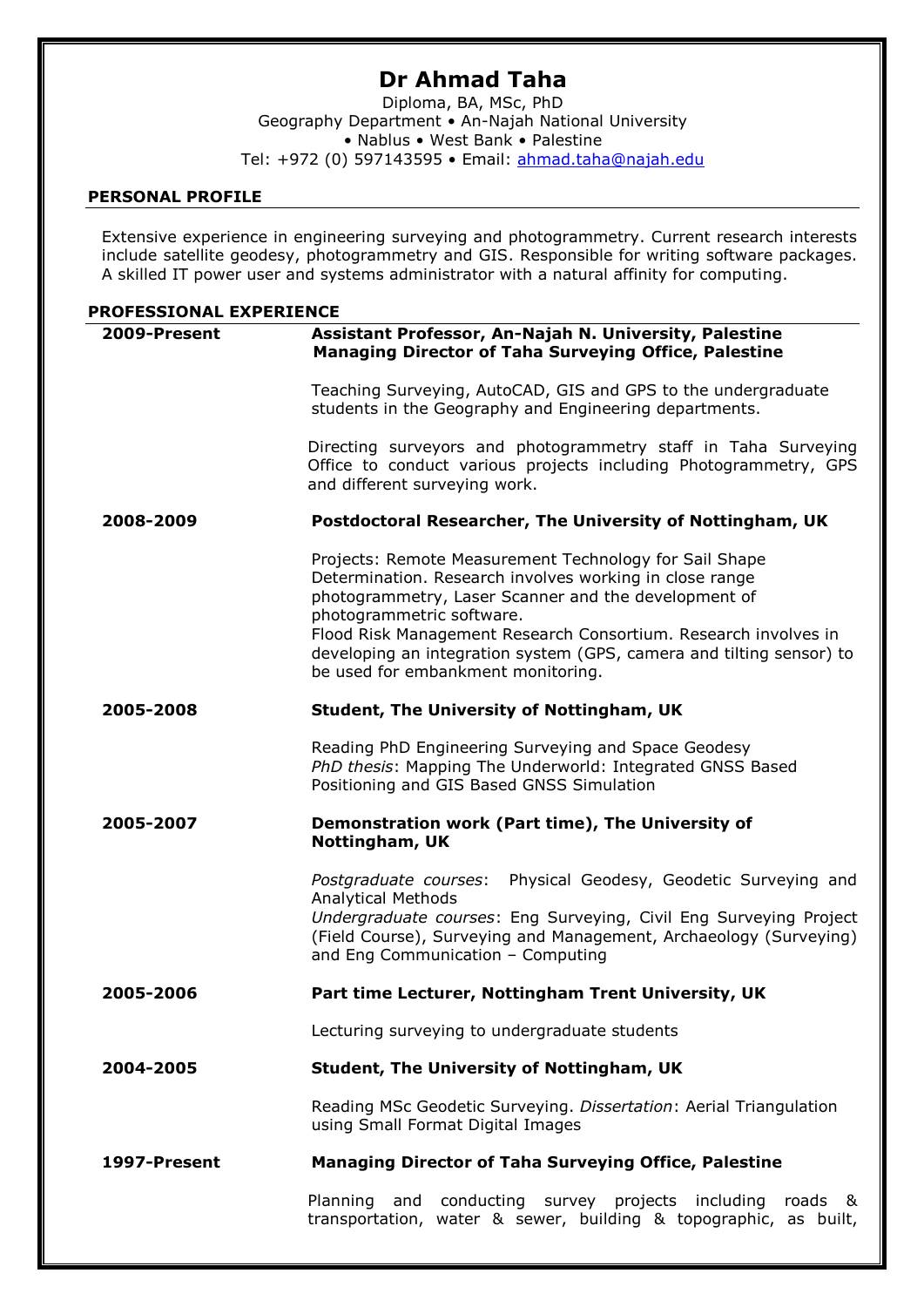# **Dr Ahmad Taha**

Diploma, BA, MSc, PhD Geography Department • An-Najah National University • Nablus • West Bank • Palestine Tel: +972 (0) 597143595 • Email: [ahmad.taha@najah.edu](mailto:ahmad.taha@najah.edu)

## **PERSONAL PROFILE**

Extensive experience in engineering surveying and photogrammetry. Current research interests include satellite geodesy, photogrammetry and GIS. Responsible for writing software packages. A skilled IT power user and systems administrator with a natural affinity for computing.

## **PROFESSIONAL EXPERIENCE**

| 2009-Present | Assistant Professor, An-Najah N. University, Palestine<br><b>Managing Director of Taha Surveying Office, Palestine</b>                                                                                                                                                                                                                                                                  |
|--------------|-----------------------------------------------------------------------------------------------------------------------------------------------------------------------------------------------------------------------------------------------------------------------------------------------------------------------------------------------------------------------------------------|
|              | Teaching Surveying, AutoCAD, GIS and GPS to the undergraduate<br>students in the Geography and Engineering departments.                                                                                                                                                                                                                                                                 |
|              | Directing surveyors and photogrammetry staff in Taha Surveying<br>Office to conduct various projects including Photogrammetry, GPS<br>and different surveying work.                                                                                                                                                                                                                     |
| 2008-2009    | Postdoctoral Researcher, The University of Nottingham, UK                                                                                                                                                                                                                                                                                                                               |
|              | Projects: Remote Measurement Technology for Sail Shape<br>Determination. Research involves working in close range<br>photogrammetry, Laser Scanner and the development of<br>photogrammetric software.<br>Flood Risk Management Research Consortium. Research involves in<br>developing an integration system (GPS, camera and tilting sensor) to<br>be used for embankment monitoring. |
| 2005-2008    | <b>Student, The University of Nottingham, UK</b>                                                                                                                                                                                                                                                                                                                                        |
|              | Reading PhD Engineering Surveying and Space Geodesy<br>PhD thesis: Mapping The Underworld: Integrated GNSS Based<br>Positioning and GIS Based GNSS Simulation                                                                                                                                                                                                                           |
| 2005-2007    | Demonstration work (Part time), The University of<br>Nottingham, UK                                                                                                                                                                                                                                                                                                                     |
|              | Physical Geodesy, Geodetic Surveying and<br>Postgraduate courses:                                                                                                                                                                                                                                                                                                                       |
|              | <b>Analytical Methods</b><br>Undergraduate courses: Eng Surveying, Civil Eng Surveying Project<br>(Field Course), Surveying and Management, Archaeology (Surveying)<br>and Eng Communication - Computing                                                                                                                                                                                |
| 2005-2006    | Part time Lecturer, Nottingham Trent University, UK                                                                                                                                                                                                                                                                                                                                     |
|              | Lecturing surveying to undergraduate students                                                                                                                                                                                                                                                                                                                                           |
| 2004-2005    | <b>Student, The University of Nottingham, UK</b>                                                                                                                                                                                                                                                                                                                                        |
|              | Reading MSc Geodetic Surveying. Dissertation: Aerial Triangulation<br>using Small Format Digital Images                                                                                                                                                                                                                                                                                 |
| 1997-Present | <b>Managing Director of Taha Surveying Office, Palestine</b>                                                                                                                                                                                                                                                                                                                            |
|              | Planning and conducting survey projects including roads &<br>transportation, water & sewer, building & topographic, as built,                                                                                                                                                                                                                                                           |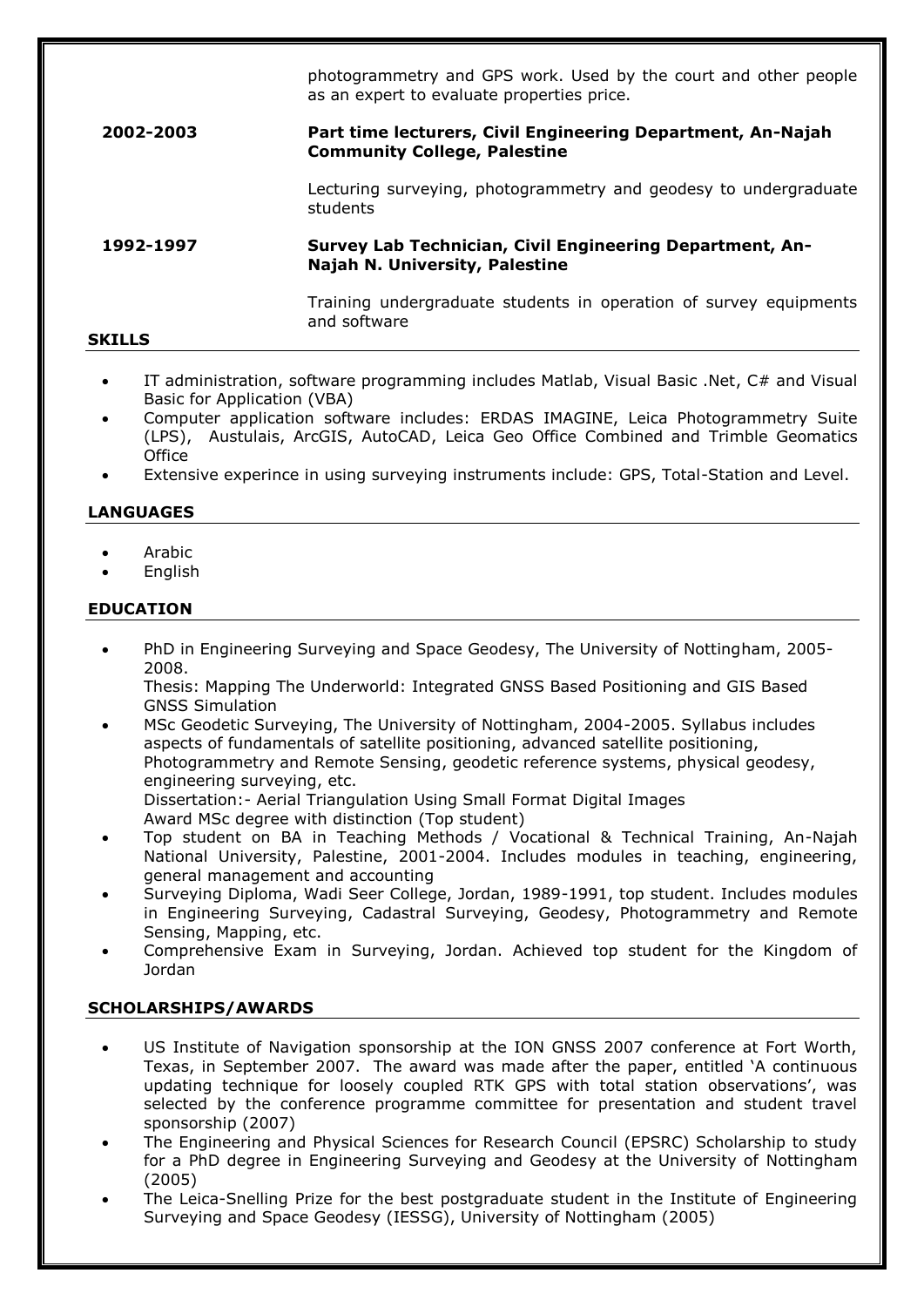photogrammetry and GPS work. Used by the court and other people as an expert to evaluate properties price.

## **2002-2003 Part time lecturers, Civil Engineering Department, An-Najah Community College, Palestine**

Lecturing surveying, photogrammetry and geodesy to undergraduate students

## **1992-1997 Survey Lab Technician, Civil Engineering Department, An-Najah N. University, Palestine**

Training undergraduate students in operation of survey equipments and software

## **SKILLS**

- IT administration, software programming includes Matlab, Visual Basic .Net, C# and Visual Basic for Application (VBA)
- Computer application software includes: ERDAS IMAGINE, Leica Photogrammetry Suite (LPS), Austulais, ArcGIS, AutoCAD, Leica Geo Office Combined and Trimble Geomatics **Office**
- Extensive experince in using surveying instruments include: GPS, Total-Station and Level.

## **LANGUAGES**

- Arabic
- English

## **EDUCATION**

 PhD in Engineering Surveying and Space Geodesy, The University of Nottingham, 2005- 2008.

Thesis: Mapping The Underworld: Integrated GNSS Based Positioning and GIS Based GNSS Simulation

- MSc Geodetic Surveying, The University of Nottingham, 2004-2005. Syllabus includes aspects of fundamentals of satellite positioning, advanced satellite positioning, Photogrammetry and Remote Sensing, geodetic reference systems, physical geodesy, engineering surveying, etc. Dissertation:- Aerial Triangulation Using Small Format Digital Images Award MSc degree with distinction (Top student)
- Top student on BA in Teaching Methods / Vocational & Technical Training, An-Najah National University, Palestine, 2001-2004. Includes modules in teaching, engineering, general management and accounting
- Surveying Diploma, Wadi Seer College, Jordan, 1989-1991, top student. Includes modules in Engineering Surveying, Cadastral Surveying, Geodesy, Photogrammetry and Remote Sensing, Mapping, etc.
- Comprehensive Exam in Surveying, Jordan. Achieved top student for the Kingdom of Jordan

## **SCHOLARSHIPS/AWARDS**

- US Institute of Navigation sponsorship at the ION GNSS 2007 conference at Fort Worth, Texas, in September 2007. The award was made after the paper, entitled 'A continuous updating technique for loosely coupled RTK GPS with total station observations', was selected by the conference programme committee for presentation and student travel sponsorship (2007)
- The Engineering and Physical Sciences for Research Council (EPSRC) Scholarship to study for a PhD degree in Engineering Surveying and Geodesy at the University of Nottingham (2005)
- The Leica-Snelling Prize for the best postgraduate student in the Institute of Engineering Surveying and Space Geodesy (IESSG), University of Nottingham (2005)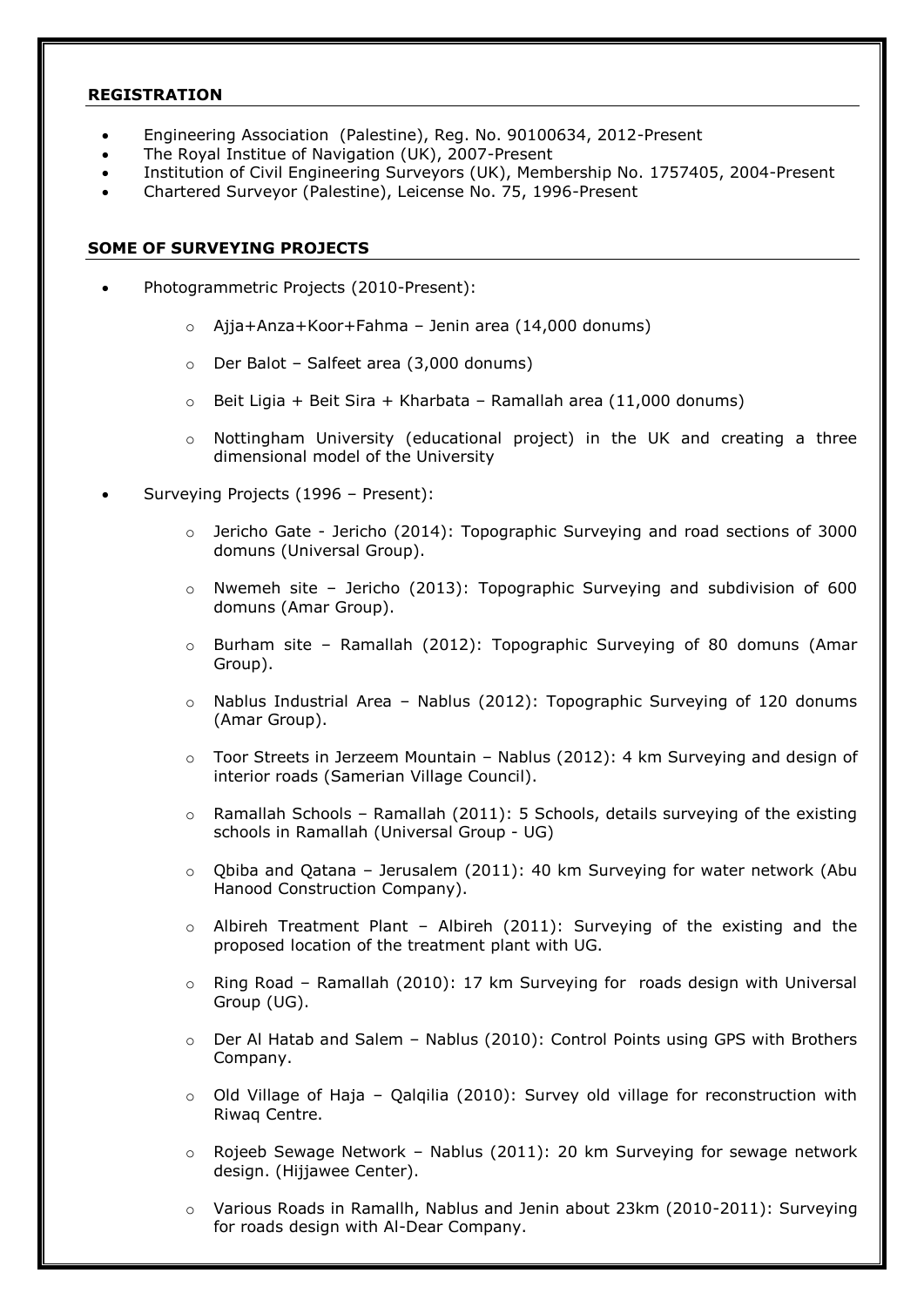## **REGISTRATION**

- Engineering Association (Palestine), Reg. No. 90100634, 2012-Present
- The Royal Institue of Navigation (UK), 2007-Present
- Institution of Civil Engineering Surveyors (UK), Membership No. 1757405, 2004-Present
- Chartered Surveyor (Palestine), Leicense No. 75, 1996-Present

## **SOME OF SURVEYING PROJECTS**

- Photogrammetric Projects (2010-Present):
	- o Ajja+Anza+Koor+Fahma Jenin area (14,000 donums)
	- o Der Balot Salfeet area (3,000 donums)
	- $\circ$  Beit Ligia + Beit Sira + Kharbata Ramallah area (11,000 donums)
	- o Nottingham University (educational project) in the UK and creating a three dimensional model of the University
- Surveying Projects (1996 Present):
	- $\circ$  Jericho Gate Jericho (2014): Topographic Surveying and road sections of 3000 domuns (Universal Group).
	- $\circ$  Nwemeh site Jericho (2013): Topographic Surveying and subdivision of 600 domuns (Amar Group).
	- $\circ$  Burham site Ramallah (2012): Topographic Surveying of 80 domuns (Amar Group).
	- $\circ$  Nablus Industrial Area Nablus (2012): Topographic Surveying of 120 donums (Amar Group).
	- $\circ$  Toor Streets in Jerzeem Mountain Nablus (2012): 4 km Surveying and design of interior roads (Samerian Village Council).
	- $\circ$  Ramallah Schools Ramallah (2011): 5 Schools, details surveying of the existing schools in Ramallah (Universal Group - UG)
	- o Qbiba and Qatana Jerusalem (2011): 40 km Surveying for water network (Abu Hanood Construction Company).
	- $\circ$  Albireh Treatment Plant Albireh (2011): Surveying of the existing and the proposed location of the treatment plant with UG.
	- $\circ$  Ring Road Ramallah (2010): 17 km Surveying for roads design with Universal Group (UG).
	- $\circ$  Der Al Hatab and Salem Nablus (2010): Control Points using GPS with Brothers Company.
	- $\circ$  Old Village of Haja Qalgilia (2010): Survey old village for reconstruction with Riwaq Centre.
	- o Rojeeb Sewage Network Nablus (2011): 20 km Surveying for sewage network design. (Hijjawee Center).
	- o Various Roads in Ramallh, Nablus and Jenin about 23km (2010-2011): Surveying for roads design with Al-Dear Company.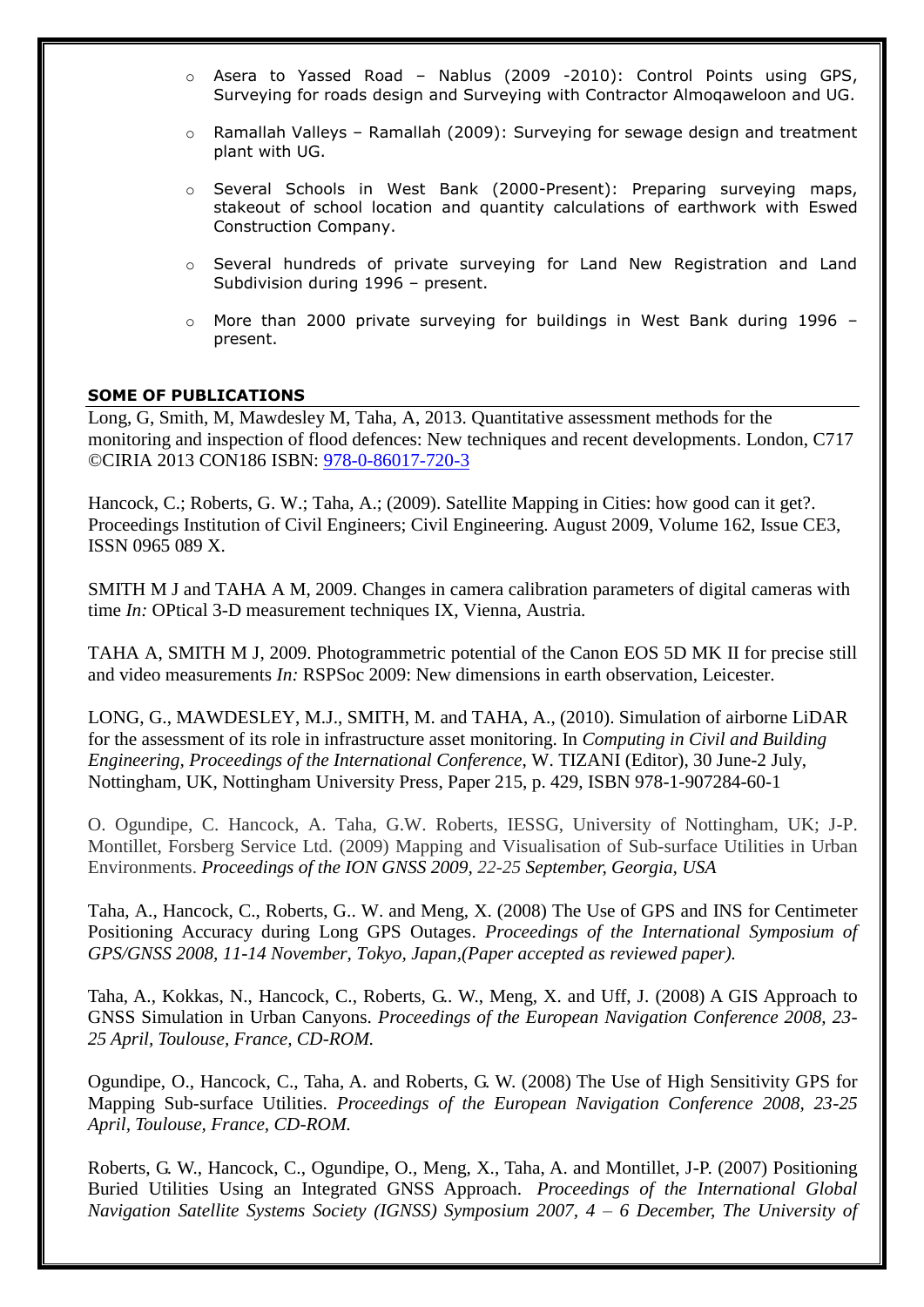- o Asera to Yassed Road Nablus (2009 -2010): Control Points using GPS, Surveying for roads design and Surveying with Contractor Almoqaweloon and UG.
- o Ramallah Valleys Ramallah (2009): Surveying for sewage design and treatment plant with UG.
- o Several Schools in West Bank (2000-Present): Preparing surveying maps, stakeout of school location and quantity calculations of earthwork with Eswed Construction Company.
- o Several hundreds of private surveying for Land New Registration and Land Subdivision during 1996 – present.
- o More than 2000 private surveying for buildings in West Bank during 1996 present.

## **SOME OF PUBLICATIONS**

Long, G, Smith, M, Mawdesley M, Taha, A, 2013. Quantitative assessment methods for the monitoring and inspection of flood defences: New techniques and recent developments. London, C717 ©CIRIA 2013 CON186 ISBN: [978-0-86017-720-3](callto:978-0-86017-720-3)

Hancock, C.; Roberts, G. W.; Taha, A.; (2009). Satellite Mapping in Cities: how good can it get?. Proceedings Institution of Civil Engineers; Civil Engineering. August 2009, Volume 162, Issue CE3, ISSN 0965 089 X.

SMITH M J and TAHA A M, 2009. Changes in camera calibration parameters of digital cameras with time *In:* OPtical 3-D measurement techniques IX, Vienna, Austria.

TAHA A, SMITH M J, 2009. Photogrammetric potential of the Canon EOS 5D MK II for precise still and video measurements *In:* RSPSoc 2009: New dimensions in earth observation, Leicester.

LONG, G., MAWDESLEY, M.J., SMITH, M. and TAHA, A., (2010). Simulation of airborne LiDAR for the assessment of its role in infrastructure asset monitoring. In *Computing in Civil and Building Engineering, Proceedings of the International Conference*, W. TIZANI (Editor), 30 June-2 July, Nottingham, UK, Nottingham University Press, Paper 215, p. 429, ISBN 978-1-907284-60-1

O. Ogundipe, C. Hancock, A. Taha, G.W. Roberts, IESSG, University of Nottingham, UK; J-P. Montillet, Forsberg Service Ltd. (2009) Mapping and Visualisation of Sub-surface Utilities in Urban Environments. *Proceedings of the ION GNSS 2009, 22-25 September, Georgia, USA*

Taha, A., Hancock, C., Roberts, G.. W. and Meng, X. (2008) The Use of GPS and INS for Centimeter Positioning Accuracy during Long GPS Outages. *Proceedings of the International Symposium of GPS/GNSS 2008, 11-14 November, Tokyo, Japan,(Paper accepted as reviewed paper).*

Taha, A., Kokkas, N., Hancock, C., Roberts, G.. W., Meng, X. and Uff, J. (2008) A GIS Approach to GNSS Simulation in Urban Canyons. *Proceedings of the European Navigation Conference 2008, 23- 25 April, Toulouse, France, CD-ROM.*

Ogundipe, O., Hancock, C., Taha, A. and Roberts, G. W. (2008) The Use of High Sensitivity GPS for Mapping Sub-surface Utilities. *Proceedings of the European Navigation Conference 2008, 23-25 April, Toulouse, France, CD-ROM.*

Roberts, G. W., Hancock, C., Ogundipe, O., Meng, X., Taha, A. and Montillet, J-P. (2007) Positioning Buried Utilities Using an Integrated GNSS Approach. *Proceedings of the International Global Navigation Satellite Systems Society (IGNSS) Symposium 2007, 4 – 6 December, The University of*